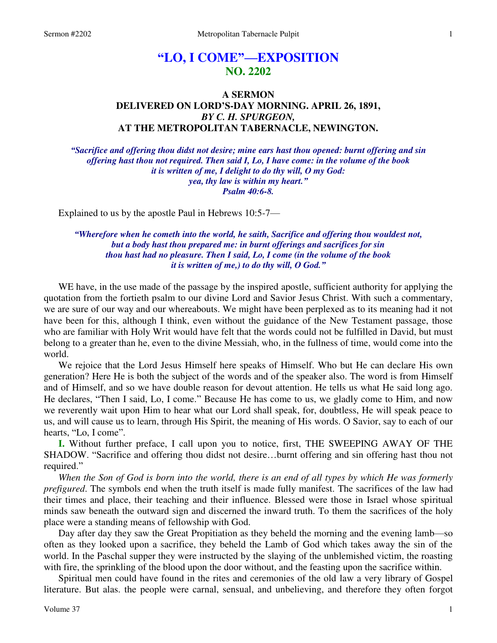## **"LO, I COME"—EXPOSITION NO. 2202**

## **A SERMON DELIVERED ON LORD'S-DAY MORNING. APRIL 26, 1891,**  *BY C. H. SPURGEON,*  **AT THE METROPOLITAN TABERNACLE, NEWINGTON.**

*"Sacrifice and offering thou didst not desire; mine ears hast thou opened: burnt offering and sin offering hast thou not required. Then said I, Lo, I have come: in the volume of the book it is written of me, I delight to do thy will, O my God: yea, thy law is within my heart." Psalm 40:6-8.* 

Explained to us by the apostle Paul in Hebrews 10:5-7—

*"Wherefore when he cometh into the world, he saith, Sacrifice and offering thou wouldest not, but a body hast thou prepared me: in burnt offerings and sacrifices for sin thou hast had no pleasure. Then I said, Lo, I come (in the volume of the book it is written of me,) to do thy will, O God."*

 WE have, in the use made of the passage by the inspired apostle, sufficient authority for applying the quotation from the fortieth psalm to our divine Lord and Savior Jesus Christ. With such a commentary, we are sure of our way and our whereabouts. We might have been perplexed as to its meaning had it not have been for this, although I think, even without the guidance of the New Testament passage, those who are familiar with Holy Writ would have felt that the words could not be fulfilled in David, but must belong to a greater than he, even to the divine Messiah, who, in the fullness of time, would come into the world.

 We rejoice that the Lord Jesus Himself here speaks of Himself. Who but He can declare His own generation? Here He is both the subject of the words and of the speaker also. The word is from Himself and of Himself, and so we have double reason for devout attention. He tells us what He said long ago. He declares, "Then I said, Lo, I come." Because He has come to us, we gladly come to Him, and now we reverently wait upon Him to hear what our Lord shall speak, for, doubtless, He will speak peace to us, and will cause us to learn, through His Spirit, the meaning of His words. O Savior, say to each of our hearts, "Lo, I come".

**I.** Without further preface, I call upon you to notice, first, THE SWEEPING AWAY OF THE SHADOW. "Sacrifice and offering thou didst not desire…burnt offering and sin offering hast thou not required."

 *When the Son of God is born into the world, there is an end of all types by which He was formerly prefigured*. The symbols end when the truth itself is made fully manifest. The sacrifices of the law had their times and place, their teaching and their influence. Blessed were those in Israel whose spiritual minds saw beneath the outward sign and discerned the inward truth. To them the sacrifices of the holy place were a standing means of fellowship with God.

 Day after day they saw the Great Propitiation as they beheld the morning and the evening lamb—so often as they looked upon a sacrifice, they beheld the Lamb of God which takes away the sin of the world. In the Paschal supper they were instructed by the slaying of the unblemished victim, the roasting with fire, the sprinkling of the blood upon the door without, and the feasting upon the sacrifice within.

 Spiritual men could have found in the rites and ceremonies of the old law a very library of Gospel literature. But alas. the people were carnal, sensual, and unbelieving, and therefore they often forgot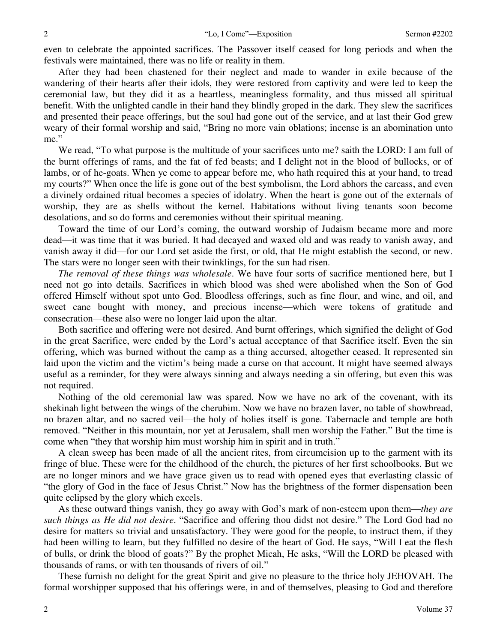even to celebrate the appointed sacrifices. The Passover itself ceased for long periods and when the festivals were maintained, there was no life or reality in them.

 After they had been chastened for their neglect and made to wander in exile because of the wandering of their hearts after their idols, they were restored from captivity and were led to keep the ceremonial law, but they did it as a heartless, meaningless formality, and thus missed all spiritual benefit. With the unlighted candle in their hand they blindly groped in the dark. They slew the sacrifices and presented their peace offerings, but the soul had gone out of the service, and at last their God grew weary of their formal worship and said, "Bring no more vain oblations; incense is an abomination unto me."

 We read, "To what purpose is the multitude of your sacrifices unto me? saith the LORD: I am full of the burnt offerings of rams, and the fat of fed beasts; and I delight not in the blood of bullocks, or of lambs, or of he-goats. When ye come to appear before me, who hath required this at your hand, to tread my courts?" When once the life is gone out of the best symbolism, the Lord abhors the carcass, and even a divinely ordained ritual becomes a species of idolatry. When the heart is gone out of the externals of worship, they are as shells without the kernel. Habitations without living tenants soon become desolations, and so do forms and ceremonies without their spiritual meaning.

 Toward the time of our Lord's coming, the outward worship of Judaism became more and more dead—it was time that it was buried. It had decayed and waxed old and was ready to vanish away, and vanish away it did—for our Lord set aside the first, or old, that He might establish the second, or new. The stars were no longer seen with their twinklings, for the sun had risen.

*The removal of these things was wholesale*. We have four sorts of sacrifice mentioned here, but I need not go into details. Sacrifices in which blood was shed were abolished when the Son of God offered Himself without spot unto God. Bloodless offerings, such as fine flour, and wine, and oil, and sweet cane bought with money, and precious incense—which were tokens of gratitude and consecration—these also were no longer laid upon the altar.

 Both sacrifice and offering were not desired. And burnt offerings, which signified the delight of God in the great Sacrifice, were ended by the Lord's actual acceptance of that Sacrifice itself. Even the sin offering, which was burned without the camp as a thing accursed, altogether ceased. It represented sin laid upon the victim and the victim's being made a curse on that account. It might have seemed always useful as a reminder, for they were always sinning and always needing a sin offering, but even this was not required.

 Nothing of the old ceremonial law was spared. Now we have no ark of the covenant, with its shekinah light between the wings of the cherubim. Now we have no brazen laver, no table of showbread, no brazen altar, and no sacred veil—the holy of holies itself is gone. Tabernacle and temple are both removed. "Neither in this mountain, nor yet at Jerusalem, shall men worship the Father." But the time is come when "they that worship him must worship him in spirit and in truth."

 A clean sweep has been made of all the ancient rites, from circumcision up to the garment with its fringe of blue. These were for the childhood of the church, the pictures of her first schoolbooks. But we are no longer minors and we have grace given us to read with opened eyes that everlasting classic of "the glory of God in the face of Jesus Christ." Now has the brightness of the former dispensation been quite eclipsed by the glory which excels.

 As these outward things vanish, they go away with God's mark of non-esteem upon them—*they are such things as He did not desire*. "Sacrifice and offering thou didst not desire." The Lord God had no desire for matters so trivial and unsatisfactory. They were good for the people, to instruct them, if they had been willing to learn, but they fulfilled no desire of the heart of God. He says, "Will I eat the flesh of bulls, or drink the blood of goats?" By the prophet Micah, He asks, "Will the LORD be pleased with thousands of rams, or with ten thousands of rivers of oil."

 These furnish no delight for the great Spirit and give no pleasure to the thrice holy JEHOVAH. The formal worshipper supposed that his offerings were, in and of themselves, pleasing to God and therefore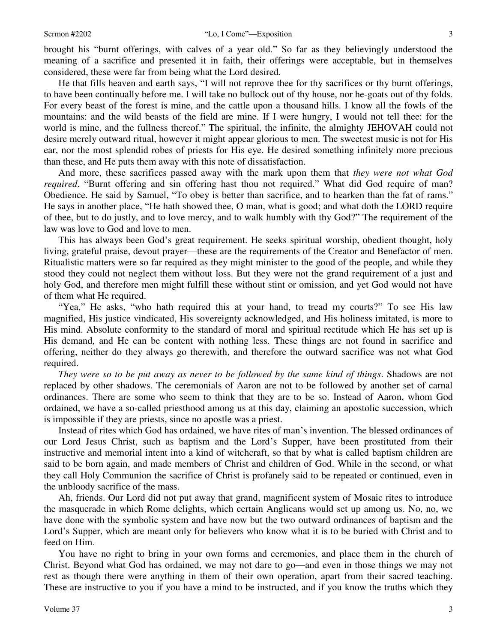brought his "burnt offerings, with calves of a year old." So far as they believingly understood the meaning of a sacrifice and presented it in faith, their offerings were acceptable, but in themselves considered, these were far from being what the Lord desired.

 He that fills heaven and earth says, "I will not reprove thee for thy sacrifices or thy burnt offerings, to have been continually before me. I will take no bullock out of thy house, nor he-goats out of thy folds. For every beast of the forest is mine, and the cattle upon a thousand hills. I know all the fowls of the mountains: and the wild beasts of the field are mine. If I were hungry, I would not tell thee: for the world is mine, and the fullness thereof." The spiritual, the infinite, the almighty JEHOVAH could not desire merely outward ritual, however it might appear glorious to men. The sweetest music is not for His ear, nor the most splendid robes of priests for His eye. He desired something infinitely more precious than these, and He puts them away with this note of dissatisfaction.

 And more, these sacrifices passed away with the mark upon them that *they were not what God required*. "Burnt offering and sin offering hast thou not required." What did God require of man? Obedience. He said by Samuel, "To obey is better than sacrifice, and to hearken than the fat of rams." He says in another place, "He hath showed thee, O man, what is good; and what doth the LORD require of thee, but to do justly, and to love mercy, and to walk humbly with thy God?" The requirement of the law was love to God and love to men.

This has always been God's great requirement. He seeks spiritual worship, obedient thought, holy living, grateful praise, devout prayer—these are the requirements of the Creator and Benefactor of men. Ritualistic matters were so far required as they might minister to the good of the people, and while they stood they could not neglect them without loss. But they were not the grand requirement of a just and holy God, and therefore men might fulfill these without stint or omission, and yet God would not have of them what He required.

"Yea," He asks, "who hath required this at your hand, to tread my courts?" To see His law magnified, His justice vindicated, His sovereignty acknowledged, and His holiness imitated, is more to His mind. Absolute conformity to the standard of moral and spiritual rectitude which He has set up is His demand, and He can be content with nothing less. These things are not found in sacrifice and offering, neither do they always go therewith, and therefore the outward sacrifice was not what God required.

*They were so to be put away as never to be followed by the same kind of things*. Shadows are not replaced by other shadows. The ceremonials of Aaron are not to be followed by another set of carnal ordinances. There are some who seem to think that they are to be so. Instead of Aaron, whom God ordained, we have a so-called priesthood among us at this day, claiming an apostolic succession, which is impossible if they are priests, since no apostle was a priest.

 Instead of rites which God has ordained, we have rites of man's invention. The blessed ordinances of our Lord Jesus Christ, such as baptism and the Lord's Supper, have been prostituted from their instructive and memorial intent into a kind of witchcraft, so that by what is called baptism children are said to be born again, and made members of Christ and children of God. While in the second, or what they call Holy Communion the sacrifice of Christ is profanely said to be repeated or continued, even in the unbloody sacrifice of the mass.

 Ah, friends. Our Lord did not put away that grand, magnificent system of Mosaic rites to introduce the masquerade in which Rome delights, which certain Anglicans would set up among us. No, no, we have done with the symbolic system and have now but the two outward ordinances of baptism and the Lord's Supper, which are meant only for believers who know what it is to be buried with Christ and to feed on Him.

 You have no right to bring in your own forms and ceremonies, and place them in the church of Christ. Beyond what God has ordained, we may not dare to go—and even in those things we may not rest as though there were anything in them of their own operation, apart from their sacred teaching. These are instructive to you if you have a mind to be instructed, and if you know the truths which they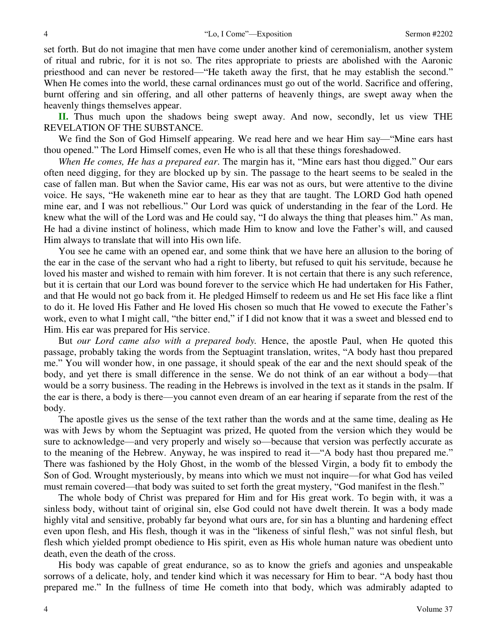set forth. But do not imagine that men have come under another kind of ceremonialism, another system of ritual and rubric, for it is not so. The rites appropriate to priests are abolished with the Aaronic priesthood and can never be restored—"He taketh away the first, that he may establish the second." When He comes into the world, these carnal ordinances must go out of the world. Sacrifice and offering, burnt offering and sin offering, and all other patterns of heavenly things, are swept away when the heavenly things themselves appear.

**II.** Thus much upon the shadows being swept away. And now, secondly, let us view THE REVELATION OF THE SUBSTANCE.

 We find the Son of God Himself appearing. We read here and we hear Him say—"Mine ears hast thou opened." The Lord Himself comes, even He who is all that these things foreshadowed.

*When He comes, He has a prepared ear*. The margin has it, "Mine ears hast thou digged." Our ears often need digging, for they are blocked up by sin. The passage to the heart seems to be sealed in the case of fallen man. But when the Savior came, His ear was not as ours, but were attentive to the divine voice. He says, "He wakeneth mine ear to hear as they that are taught. The LORD God hath opened mine ear, and I was not rebellious." Our Lord was quick of understanding in the fear of the Lord. He knew what the will of the Lord was and He could say, "I do always the thing that pleases him." As man, He had a divine instinct of holiness, which made Him to know and love the Father's will, and caused Him always to translate that will into His own life.

 You see he came with an opened ear, and some think that we have here an allusion to the boring of the ear in the case of the servant who had a right to liberty, but refused to quit his servitude, because he loved his master and wished to remain with him forever. It is not certain that there is any such reference, but it is certain that our Lord was bound forever to the service which He had undertaken for His Father, and that He would not go back from it. He pledged Himself to redeem us and He set His face like a flint to do it. He loved His Father and He loved His chosen so much that He vowed to execute the Father's work, even to what I might call, "the bitter end," if I did not know that it was a sweet and blessed end to Him. His ear was prepared for His service.

 But *our Lord came also with a prepared body.* Hence, the apostle Paul, when He quoted this passage, probably taking the words from the Septuagint translation, writes, "A body hast thou prepared me." You will wonder how, in one passage, it should speak of the ear and the next should speak of the body, and yet there is small difference in the sense. We do not think of an ear without a body—that would be a sorry business. The reading in the Hebrews is involved in the text as it stands in the psalm. If the ear is there, a body is there—you cannot even dream of an ear hearing if separate from the rest of the body.

 The apostle gives us the sense of the text rather than the words and at the same time, dealing as He was with Jews by whom the Septuagint was prized, He quoted from the version which they would be sure to acknowledge—and very properly and wisely so—because that version was perfectly accurate as to the meaning of the Hebrew. Anyway, he was inspired to read it—"A body hast thou prepared me." There was fashioned by the Holy Ghost, in the womb of the blessed Virgin, a body fit to embody the Son of God. Wrought mysteriously, by means into which we must not inquire—for what God has veiled must remain covered—that body was suited to set forth the great mystery, "God manifest in the flesh."

 The whole body of Christ was prepared for Him and for His great work. To begin with, it was a sinless body, without taint of original sin, else God could not have dwelt therein. It was a body made highly vital and sensitive, probably far beyond what ours are, for sin has a blunting and hardening effect even upon flesh, and His flesh, though it was in the "likeness of sinful flesh," was not sinful flesh, but flesh which yielded prompt obedience to His spirit, even as His whole human nature was obedient unto death, even the death of the cross.

 His body was capable of great endurance, so as to know the griefs and agonies and unspeakable sorrows of a delicate, holy, and tender kind which it was necessary for Him to bear. "A body hast thou prepared me." In the fullness of time He cometh into that body, which was admirably adapted to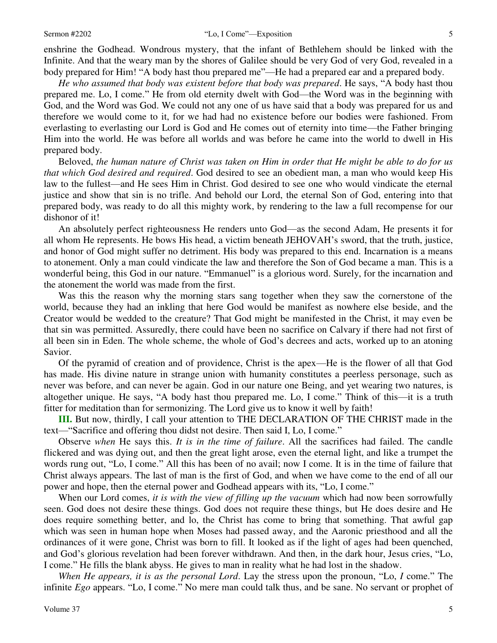enshrine the Godhead. Wondrous mystery, that the infant of Bethlehem should be linked with the Infinite. And that the weary man by the shores of Galilee should be very God of very God, revealed in a body prepared for Him! "A body hast thou prepared me"—He had a prepared ear and a prepared body.

*He who assumed that body was existent before that body was prepared*. He says, "A body hast thou prepared me. Lo, I come." He from old eternity dwelt with God—the Word was in the beginning with God, and the Word was God. We could not any one of us have said that a body was prepared for us and therefore we would come to it, for we had had no existence before our bodies were fashioned. From everlasting to everlasting our Lord is God and He comes out of eternity into time—the Father bringing Him into the world. He was before all worlds and was before he came into the world to dwell in His prepared body.

 Beloved, *the human nature of Christ was taken on Him in order that He might be able to do for us that which God desired and required*. God desired to see an obedient man, a man who would keep His law to the fullest—and He sees Him in Christ. God desired to see one who would vindicate the eternal justice and show that sin is no trifle. And behold our Lord, the eternal Son of God, entering into that prepared body, was ready to do all this mighty work, by rendering to the law a full recompense for our dishonor of it!

 An absolutely perfect righteousness He renders unto God—as the second Adam, He presents it for all whom He represents. He bows His head, a victim beneath JEHOVAH's sword, that the truth, justice, and honor of God might suffer no detriment. His body was prepared to this end. Incarnation is a means to atonement. Only a man could vindicate the law and therefore the Son of God became a man. This is a wonderful being, this God in our nature. "Emmanuel" is a glorious word. Surely, for the incarnation and the atonement the world was made from the first.

 Was this the reason why the morning stars sang together when they saw the cornerstone of the world, because they had an inkling that here God would be manifest as nowhere else beside, and the Creator would be wedded to the creature? That God might be manifested in the Christ, it may even be that sin was permitted. Assuredly, there could have been no sacrifice on Calvary if there had not first of all been sin in Eden. The whole scheme, the whole of God's decrees and acts, worked up to an atoning Savior.

 Of the pyramid of creation and of providence, Christ is the apex—He is the flower of all that God has made. His divine nature in strange union with humanity constitutes a peerless personage, such as never was before, and can never be again. God in our nature one Being, and yet wearing two natures, is altogether unique. He says, "A body hast thou prepared me. Lo, I come." Think of this—it is a truth fitter for meditation than for sermonizing. The Lord give us to know it well by faith!

**III.** But now, thirdly, I call your attention to THE DECLARATION OF THE CHRIST made in the text—"Sacrifice and offering thou didst not desire. Then said I, Lo, I come."

 Observe *when* He says this. *It is in the time of failure*. All the sacrifices had failed. The candle flickered and was dying out, and then the great light arose, even the eternal light, and like a trumpet the words rung out, "Lo, I come." All this has been of no avail; now I come. It is in the time of failure that Christ always appears. The last of man is the first of God, and when we have come to the end of all our power and hope, then the eternal power and Godhead appears with its, "Lo, I come."

 When our Lord comes, *it is with the view of filling up the vacuum* which had now been sorrowfully seen. God does not desire these things. God does not require these things, but He does desire and He does require something better, and lo, the Christ has come to bring that something. That awful gap which was seen in human hope when Moses had passed away, and the Aaronic priesthood and all the ordinances of it were gone, Christ was born to fill. It looked as if the light of ages had been quenched, and God's glorious revelation had been forever withdrawn. And then, in the dark hour, Jesus cries, "Lo, I come." He fills the blank abyss. He gives to man in reality what he had lost in the shadow.

*When He appears, it is as the personal Lord*. Lay the stress upon the pronoun, "Lo, *I* come." The infinite *Ego* appears. "Lo, I come." No mere man could talk thus, and be sane. No servant or prophet of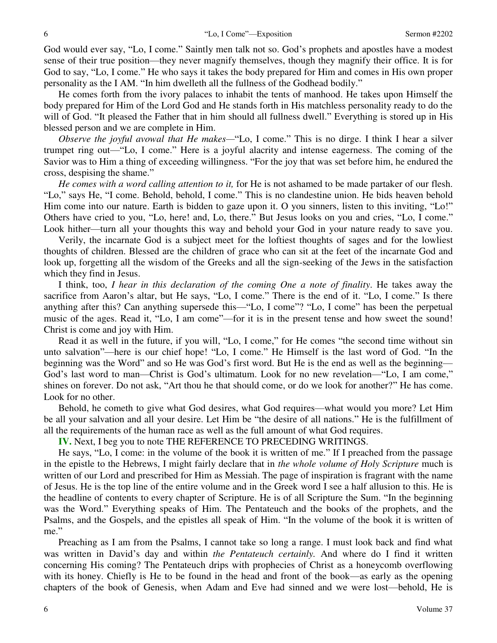God would ever say, "Lo, I come." Saintly men talk not so. God's prophets and apostles have a modest sense of their true position—they never magnify themselves, though they magnify their office. It is for God to say, "Lo, I come." He who says it takes the body prepared for Him and comes in His own proper personality as the I AM. "In him dwelleth all the fullness of the Godhead bodily."

 He comes forth from the ivory palaces to inhabit the tents of manhood. He takes upon Himself the body prepared for Him of the Lord God and He stands forth in His matchless personality ready to do the will of God. "It pleased the Father that in him should all fullness dwell." Everything is stored up in His blessed person and we are complete in Him.

*Observe the joyful avowal that He makes*—"Lo, I come." This is no dirge. I think I hear a silver trumpet ring out—"Lo, I come." Here is a joyful alacrity and intense eagerness. The coming of the Savior was to Him a thing of exceeding willingness. "For the joy that was set before him, he endured the cross, despising the shame."

*He comes with a word calling attention to it,* for He is not ashamed to be made partaker of our flesh. "Lo," says He, "I come. Behold, behold, I come." This is no clandestine union. He bids heaven behold Him come into our nature. Earth is bidden to gaze upon it. O you sinners, listen to this inviting, "Lo!" Others have cried to you, "Lo, here! and, Lo, there." But Jesus looks on you and cries, "Lo, I come." Look hither—turn all your thoughts this way and behold your God in your nature ready to save you.

 Verily, the incarnate God is a subject meet for the loftiest thoughts of sages and for the lowliest thoughts of children. Blessed are the children of grace who can sit at the feet of the incarnate God and look up, forgetting all the wisdom of the Greeks and all the sign-seeking of the Jews in the satisfaction which they find in Jesus.

 I think, too, *I hear in this declaration of the coming One a note of finality*. He takes away the sacrifice from Aaron's altar, but He says, "Lo, I come." There is the end of it. "Lo, I come." Is there anything after this? Can anything supersede this—"Lo, I come"? "Lo, I come" has been the perpetual music of the ages. Read it, "Lo, I am come"—for it is in the present tense and how sweet the sound! Christ is come and joy with Him.

 Read it as well in the future, if you will, "Lo, I come," for He comes "the second time without sin unto salvation"—here is our chief hope! "Lo, I come." He Himself is the last word of God. "In the beginning was the Word" and so He was God's first word. But He is the end as well as the beginning— God's last word to man—Christ is God's ultimatum. Look for no new revelation—"Lo, I am come," shines on forever. Do not ask, "Art thou he that should come, or do we look for another?" He has come. Look for no other.

 Behold, he cometh to give what God desires, what God requires—what would you more? Let Him be all your salvation and all your desire. Let Him be "the desire of all nations." He is the fulfillment of all the requirements of the human race as well as the full amount of what God requires.

**IV.** Next, I beg you to note THE REFERENCE TO PRECEDING WRITINGS.

 He says, "Lo, I come: in the volume of the book it is written of me." If I preached from the passage in the epistle to the Hebrews, I might fairly declare that in *the whole volume of Holy Scripture* much is written of our Lord and prescribed for Him as Messiah. The page of inspiration is fragrant with the name of Jesus. He is the top line of the entire volume and in the Greek word I see a half allusion to this. He is the headline of contents to every chapter of Scripture. He is of all Scripture the Sum. "In the beginning was the Word." Everything speaks of Him. The Pentateuch and the books of the prophets, and the Psalms, and the Gospels, and the epistles all speak of Him. "In the volume of the book it is written of me."

 Preaching as I am from the Psalms, I cannot take so long a range. I must look back and find what was written in David's day and within *the Pentateuch certainly.* And where do I find it written concerning His coming? The Pentateuch drips with prophecies of Christ as a honeycomb overflowing with its honey. Chiefly is He to be found in the head and front of the book—as early as the opening chapters of the book of Genesis, when Adam and Eve had sinned and we were lost—behold, He is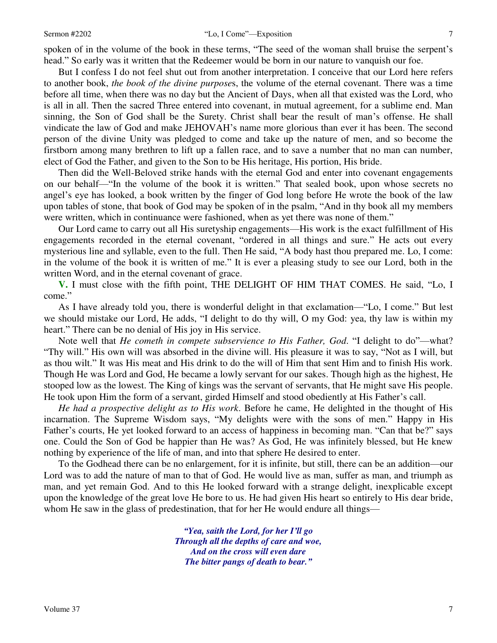spoken of in the volume of the book in these terms, "The seed of the woman shall bruise the serpent's head." So early was it written that the Redeemer would be born in our nature to vanquish our foe.

 But I confess I do not feel shut out from another interpretation. I conceive that our Lord here refers to another book, *the book of the divine purpose*s, the volume of the eternal covenant. There was a time before all time, when there was no day but the Ancient of Days, when all that existed was the Lord, who is all in all. Then the sacred Three entered into covenant, in mutual agreement, for a sublime end. Man sinning, the Son of God shall be the Surety. Christ shall bear the result of man's offense. He shall vindicate the law of God and make JEHOVAH's name more glorious than ever it has been. The second person of the divine Unity was pledged to come and take up the nature of men, and so become the firstborn among many brethren to lift up a fallen race, and to save a number that no man can number, elect of God the Father, and given to the Son to be His heritage, His portion, His bride.

 Then did the Well-Beloved strike hands with the eternal God and enter into covenant engagements on our behalf—"In the volume of the book it is written." That sealed book, upon whose secrets no angel's eye has looked, a book written by the finger of God long before He wrote the book of the law upon tables of stone, that book of God may be spoken of in the psalm, "And in thy book all my members were written, which in continuance were fashioned, when as yet there was none of them."

 Our Lord came to carry out all His suretyship engagements—His work is the exact fulfillment of His engagements recorded in the eternal covenant, "ordered in all things and sure." He acts out every mysterious line and syllable, even to the full. Then He said, "A body hast thou prepared me. Lo, I come: in the volume of the book it is written of me." It is ever a pleasing study to see our Lord, both in the written Word, and in the eternal covenant of grace.

**V.** I must close with the fifth point, THE DELIGHT OF HIM THAT COMES. He said, "Lo, I come."

 As I have already told you, there is wonderful delight in that exclamation—"Lo, I come." But lest we should mistake our Lord, He adds, "I delight to do thy will, O my God: yea, thy law is within my heart." There can be no denial of His joy in His service.

 Note well that *He cometh in compete subservience to His Father, God*. "I delight to do"—what? "Thy will." His own will was absorbed in the divine will. His pleasure it was to say, "Not as I will, but as thou wilt." It was His meat and His drink to do the will of Him that sent Him and to finish His work. Though He was Lord and God, He became a lowly servant for our sakes. Though high as the highest, He stooped low as the lowest. The King of kings was the servant of servants, that He might save His people. He took upon Him the form of a servant, girded Himself and stood obediently at His Father's call.

*He had a prospective delight as to His work*. Before he came, He delighted in the thought of His incarnation. The Supreme Wisdom says, "My delights were with the sons of men." Happy in His Father's courts, He yet looked forward to an access of happiness in becoming man. "Can that be?" says one. Could the Son of God be happier than He was? As God, He was infinitely blessed, but He knew nothing by experience of the life of man, and into that sphere He desired to enter.

 To the Godhead there can be no enlargement, for it is infinite, but still, there can be an addition—our Lord was to add the nature of man to that of God. He would live as man, suffer as man, and triumph as man, and yet remain God. And to this He looked forward with a strange delight, inexplicable except upon the knowledge of the great love He bore to us. He had given His heart so entirely to His dear bride, whom He saw in the glass of predestination, that for her He would endure all things—

> *"Yea, saith the Lord, for her I'll go Through all the depths of care and woe, And on the cross will even dare The bitter pangs of death to bear."*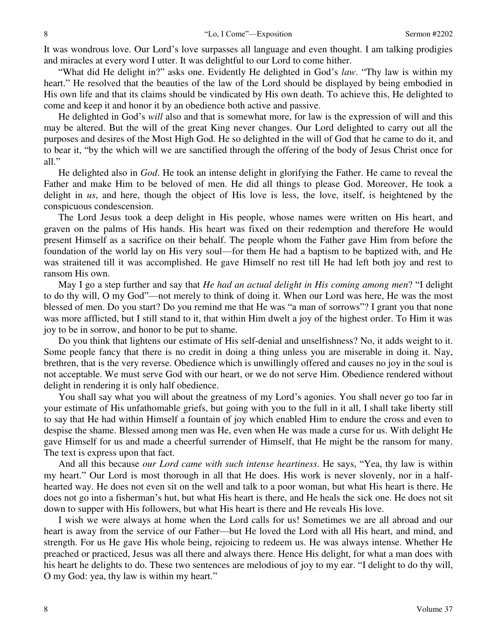It was wondrous love. Our Lord's love surpasses all language and even thought. I am talking prodigies and miracles at every word I utter. It was delightful to our Lord to come hither.

"What did He delight in?" asks one. Evidently He delighted in God's *law*. "Thy law is within my heart." He resolved that the beauties of the law of the Lord should be displayed by being embodied in His own life and that its claims should be vindicated by His own death. To achieve this, He delighted to come and keep it and honor it by an obedience both active and passive.

 He delighted in God's *will* also and that is somewhat more, for law is the expression of will and this may be altered. But the will of the great King never changes. Our Lord delighted to carry out all the purposes and desires of the Most High God. He so delighted in the will of God that he came to do it, and to bear it, "by the which will we are sanctified through the offering of the body of Jesus Christ once for all."

 He delighted also in *God*. He took an intense delight in glorifying the Father. He came to reveal the Father and make Him to be beloved of men. He did all things to please God. Moreover, He took a delight in *us*, and here, though the object of His love is less, the love, itself, is heightened by the conspicuous condescension.

 The Lord Jesus took a deep delight in His people, whose names were written on His heart, and graven on the palms of His hands. His heart was fixed on their redemption and therefore He would present Himself as a sacrifice on their behalf. The people whom the Father gave Him from before the foundation of the world lay on His very soul—for them He had a baptism to be baptized with, and He was straitened till it was accomplished. He gave Himself no rest till He had left both joy and rest to ransom His own.

 May I go a step further and say that *He had an actual delight in His coming among men*? "I delight to do thy will, O my God"—not merely to think of doing it. When our Lord was here, He was the most blessed of men. Do you start? Do you remind me that He was "a man of sorrows"? I grant you that none was more afflicted, but I still stand to it, that within Him dwelt a joy of the highest order. To Him it was joy to be in sorrow, and honor to be put to shame.

 Do you think that lightens our estimate of His self-denial and unselfishness? No, it adds weight to it. Some people fancy that there is no credit in doing a thing unless you are miserable in doing it. Nay, brethren, that is the very reverse. Obedience which is unwillingly offered and causes no joy in the soul is not acceptable. We must serve God with our heart, or we do not serve Him. Obedience rendered without delight in rendering it is only half obedience.

 You shall say what you will about the greatness of my Lord's agonies. You shall never go too far in your estimate of His unfathomable griefs, but going with you to the full in it all, I shall take liberty still to say that He had within Himself a fountain of joy which enabled Him to endure the cross and even to despise the shame. Blessed among men was He, even when He was made a curse for us. With delight He gave Himself for us and made a cheerful surrender of Himself, that He might be the ransom for many. The text is express upon that fact.

 And all this because *our Lord came with such intense heartiness*. He says, "Yea, thy law is within my heart." Our Lord is most thorough in all that He does. His work is never slovenly, nor in a halfhearted way. He does not even sit on the well and talk to a poor woman, but what His heart is there. He does not go into a fisherman's hut, but what His heart is there, and He heals the sick one. He does not sit down to supper with His followers, but what His heart is there and He reveals His love.

 I wish we were always at home when the Lord calls for us! Sometimes we are all abroad and our heart is away from the service of our Father—but He loved the Lord with all His heart, and mind, and strength. For us He gave His whole being, rejoicing to redeem us. He was always intense. Whether He preached or practiced, Jesus was all there and always there. Hence His delight, for what a man does with his heart he delights to do. These two sentences are melodious of joy to my ear. "I delight to do thy will, O my God: yea, thy law is within my heart."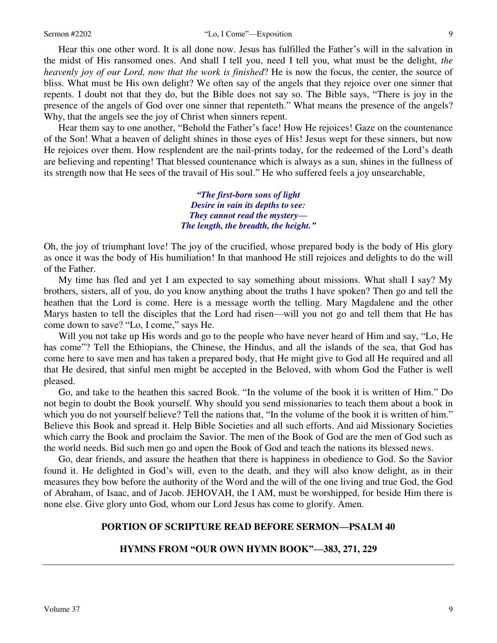Hear this one other word. It is all done now. Jesus has fulfilled the Father's will in the salvation in the midst of His ransomed ones. And shall I tell you, need I tell you, what must be the delight, *the heavenly joy of our Lord, now that the work is finished*? He is now the focus, the center, the source of bliss. What must be His own delight? We often say of the angels that they rejoice over one sinner that repents. I doubt not that they do, but the Bible does not say so. The Bible says, "There is joy in the presence of the angels of God over one sinner that repenteth." What means the presence of the angels? Why, that the angels see the joy of Christ when sinners repent.

 Hear them say to one another, "Behold the Father's face! How He rejoices! Gaze on the countenance of the Son! What a heaven of delight shines in those eyes of His! Jesus wept for these sinners, but now He rejoices over them. How resplendent are the nail-prints today, for the redeemed of the Lord's death are believing and repenting! That blessed countenance which is always as a sun, shines in the fullness of its strength now that He sees of the travail of His soul." He who suffered feels a joy unsearchable,

> *"The first-born sons of light Desire in vain its depths to see: They cannot read the mystery— The length, the breadth, the height."*

Oh, the joy of triumphant love! The joy of the crucified, whose prepared body is the body of His glory as once it was the body of His humiliation! In that manhood He still rejoices and delights to do the will of the Father.

 My time has fled and yet I am expected to say something about missions. What shall I say? My brothers, sisters, all of you, do you know anything about the truths I have spoken? Then go and tell the heathen that the Lord is come. Here is a message worth the telling. Mary Magdalene and the other Marys hasten to tell the disciples that the Lord had risen—will you not go and tell them that He has come down to save? "Lo, I come," says He.

 Will you not take up His words and go to the people who have never heard of Him and say, "Lo, He has come"? Tell the Ethiopians, the Chinese, the Hindus, and all the islands of the sea, that God has come here to save men and has taken a prepared body, that He might give to God all He required and all that He desired, that sinful men might be accepted in the Beloved, with whom God the Father is well pleased.

 Go, and take to the heathen this sacred Book. "In the volume of the book it is written of Him." Do not begin to doubt the Book yourself. Why should you send missionaries to teach them about a book in which you do not yourself believe? Tell the nations that, "In the volume of the book it is written of him." Believe this Book and spread it. Help Bible Societies and all such efforts. And aid Missionary Societies which carry the Book and proclaim the Savior. The men of the Book of God are the men of God such as the world needs. Bid such men go and open the Book of God and teach the nations its blessed news.

 Go, dear friends, and assure the heathen that there is happiness in obedience to God. So the Savior found it. He delighted in God's will, even to the death, and they will also know delight, as in their measures they bow before the authority of the Word and the will of the one living and true God, the God of Abraham, of Isaac, and of Jacob. JEHOVAH, the I AM, must be worshipped, for beside Him there is none else. Give glory unto God, whom our Lord Jesus has come to glorify. Amen.

## **PORTION OF SCRIPTURE READ BEFORE SERMON—PSALM 40**

## **HYMNS FROM "OUR OWN HYMN BOOK"—383, 271, 229**